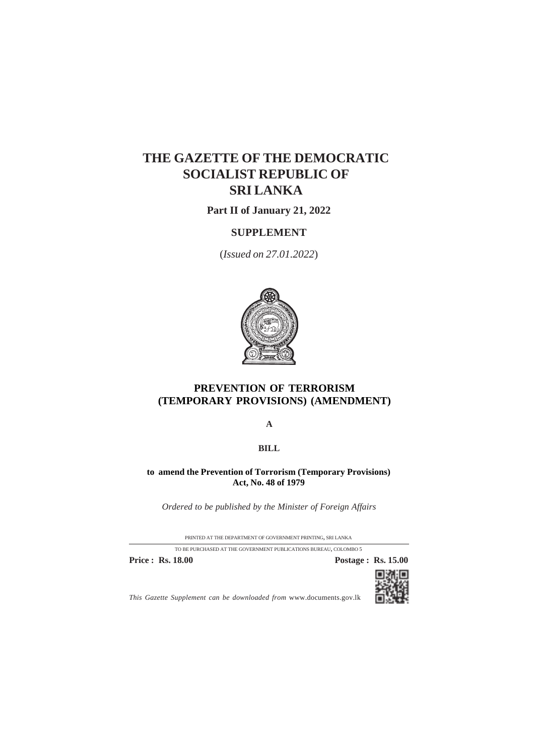# **THE GAZETTE OF THE DEMOCRATIC SOCIALIST REPUBLIC OF SRI LANKA**

**Part II of January 21, 2022**

## **SUPPLEMENT**

(*Issued on 27.01.2022*)



## **PREVENTION OF TERRORISM (TEMPORARY PROVISIONS) (AMENDMENT)**

**A**

**BILL**

**to amend the Prevention of Torrorism (Temporary Provisions) Act, No. 48 of 1979**

*Ordered to be published by the Minister of Foreign Affairs*

PRINTED AT THE DEPARTMENT OF GOVERNMENT PRINTING, SRI LANKA TO BE PURCHASED AT THE GOVERNMENT PUBLICATIONS BUREAU, COLOMBO 5

**Price : Rs. 18.00 Postage : Rs. 15.00** 



*This Gazette Supplement can be downloaded from* www.documents.gov.lk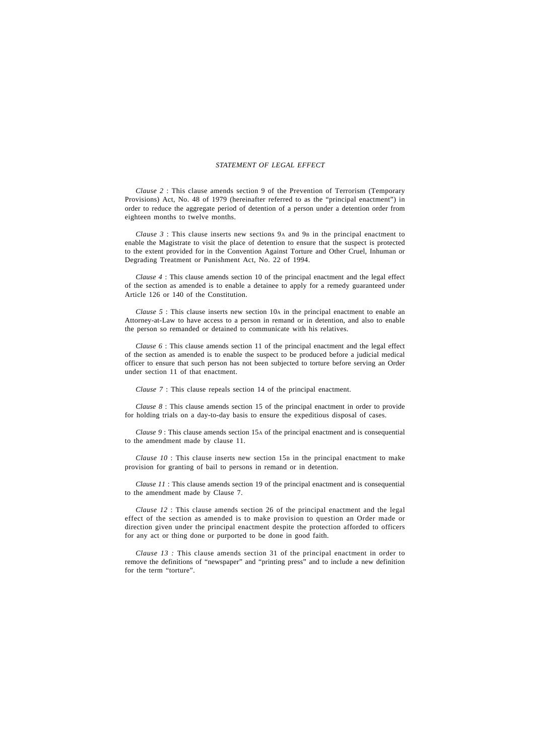### *STATEMENT OF LEGAL EFFECT*

*Clause 2* : This clause amends section 9 of the Prevention of Terrorism (Temporary Provisions) Act, No. 48 of 1979 (hereinafter referred to as the "principal enactment") in order to reduce the aggregate period of detention of a person under a detention order from eighteen months to twelve months.

*Clause 3* : This clause inserts new sections 9A and 9B in the principal enactment to enable the Magistrate to visit the place of detention to ensure that the suspect is protected to the extent provided for in the Convention Against Torture and Other Cruel, Inhuman or Degrading Treatment or Punishment Act, No. 22 of 1994.

*Clause 4* : This clause amends section 10 of the principal enactment and the legal effect of the section as amended is to enable a detainee to apply for a remedy guaranteed under Article 126 or 140 of the Constitution.

*Clause 5* : This clause inserts new section 10A in the principal enactment to enable an Attorney-at-Law to have access to a person in remand or in detention, and also to enable the person so remanded or detained to communicate with his relatives.

*Clause 6* : This clause amends section 11 of the principal enactment and the legal effect of the section as amended is to enable the suspect to be produced before a judicial medical officer to ensure that such person has not been subjected to torture before serving an Order under section 11 of that enactment.

*Clause 7* : This clause repeals section 14 of the principal enactment.

*Clause 8* : This clause amends section 15 of the principal enactment in order to provide for holding trials on a day-to-day basis to ensure the expeditious disposal of cases.

*Clause 9* : This clause amends section 15A of the principal enactment and is consequential to the amendment made by clause 11.

*Clause 10* : This clause inserts new section 15B in the principal enactment to make provision for granting of bail to persons in remand or in detention.

*Clause 11* : This clause amends section 19 of the principal enactment and is consequential to the amendment made by Clause 7.

*Clause 12* : This clause amends section 26 of the principal enactment and the legal effect of the section as amended is to make provision to question an Order made or direction given under the principal enactment despite the protection afforded to officers for any act or thing done or purported to be done in good faith.

*Clause 13 :* This clause amends section 31 of the principal enactment in order to remove the definitions of "newspaper" and "printing press" and to include a new definition for the term "torture".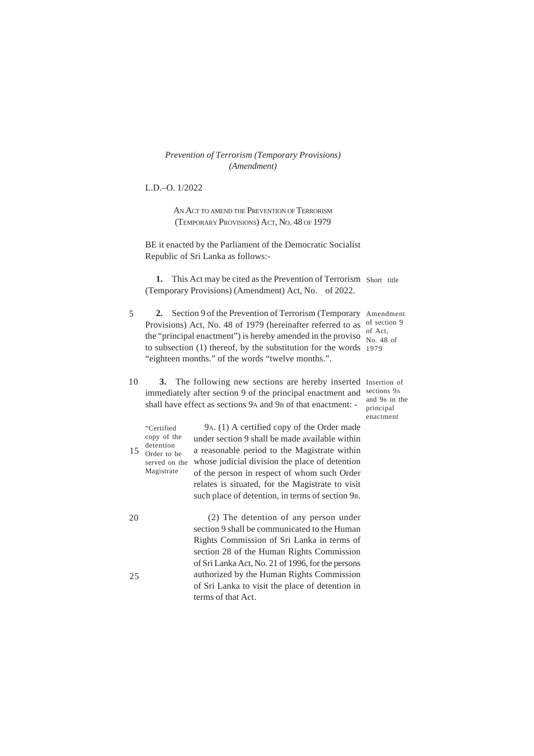L.D.–O. 1/2022

AN ACT TO AMEND THE PREVENTION OF TERRORISM (TEMPORARY PROVISIONS) ACT, NO. 48 OF 1979

BE it enacted by the Parliament of the Democratic Socialist Republic of Sri Lanka as follows:-

1. This Act may be cited as the Prevention of Terrorism Short title (Temporary Provisions) (Amendment) Act, No. of 2022.

- 5 **2.** Section 9 of the Prevention of Terrorism (Temporary Amendment Provisions) Act, No. 48 of 1979 (hereinafter referred to as of section 9 the "principal enactment") is hereby amended in the proviso  $\frac{0.6 \text{ Act}}{N_{\Omega} A8}$ to subsection (1) thereof, by the substitution for the words 1979 "eighteen months." of the words "twelve months.". No. 48 of
- **3.** The following new sections are hereby inserted Insertion of immediately after section 9 of the principal enactment and sections 9A shall have effect as sections 9A and 9B of that enactment: -10

and 9B in the principal enactment

| 15 | "Certified<br>copy of the<br>detention<br>Order to be<br>served on the<br>Magistrate | 9A. (1) A certified copy of the Order made<br>under section 9 shall be made available within<br>a reasonable period to the Magistrate within<br>whose judicial division the place of detention<br>of the person in respect of whom such Order<br>relates is situated, for the Magistrate to visit<br>such place of detention, in terms of section 9 <sub>B</sub> . |
|----|--------------------------------------------------------------------------------------|--------------------------------------------------------------------------------------------------------------------------------------------------------------------------------------------------------------------------------------------------------------------------------------------------------------------------------------------------------------------|
| 20 |                                                                                      | (2) The detention of any person under<br>section 9 shall be communicated to the Human<br>Rights Commission of Sri Lanka in terms of                                                                                                                                                                                                                                |
| 25 |                                                                                      | section 28 of the Human Rights Commission<br>of Sri Lanka Act, No. 21 of 1996, for the persons<br>authorized by the Human Rights Commission<br>of Sri Lanka to visit the place of detention in<br>terms of that Act.                                                                                                                                               |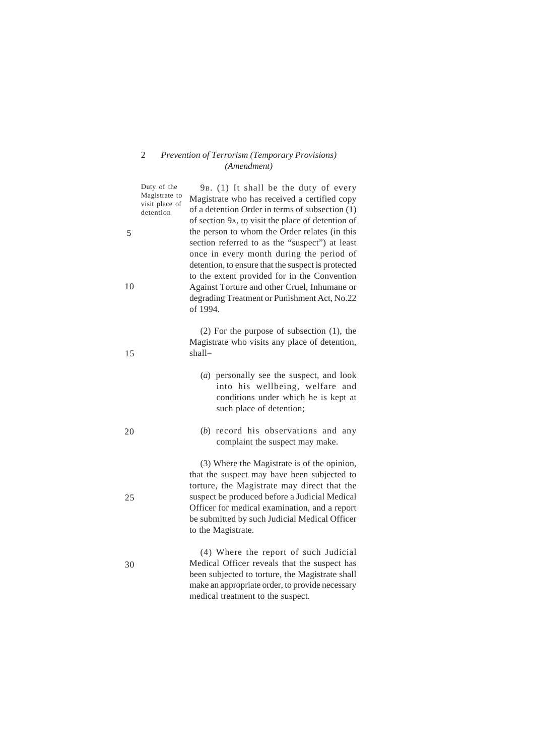|    | Duty of the<br>Magistrate to<br>visit place of<br>detention | 9B. (1) It shall be the duty of every<br>Magistrate who has received a certified copy<br>of a detention Order in terms of subsection (1)<br>of section 9A, to visit the place of detention of                                                                                                                      |
|----|-------------------------------------------------------------|--------------------------------------------------------------------------------------------------------------------------------------------------------------------------------------------------------------------------------------------------------------------------------------------------------------------|
| 5  |                                                             | the person to whom the Order relates (in this<br>section referred to as the "suspect") at least<br>once in every month during the period of<br>detention, to ensure that the suspect is protected<br>to the extent provided for in the Convention                                                                  |
| 10 |                                                             | Against Torture and other Cruel, Inhumane or<br>degrading Treatment or Punishment Act, No.22<br>of 1994.                                                                                                                                                                                                           |
| 15 |                                                             | $(2)$ For the purpose of subsection $(1)$ , the<br>Magistrate who visits any place of detention,<br>shall—                                                                                                                                                                                                         |
|    |                                                             | (a) personally see the suspect, and look<br>into his wellbeing, welfare and<br>conditions under which he is kept at<br>such place of detention;                                                                                                                                                                    |
| 20 |                                                             | (b) record his observations and any<br>complaint the suspect may make.                                                                                                                                                                                                                                             |
| 25 |                                                             | (3) Where the Magistrate is of the opinion,<br>that the suspect may have been subjected to<br>torture, the Magistrate may direct that the<br>suspect be produced before a Judicial Medical<br>Officer for medical examination, and a report<br>be submitted by such Judicial Medical Officer<br>to the Magistrate. |
| 30 |                                                             | (4) Where the report of such Judicial<br>Medical Officer reveals that the suspect has<br>been subjected to torture, the Magistrate shall<br>make an appropriate order, to provide necessary<br>medical treatment to the suspect.                                                                                   |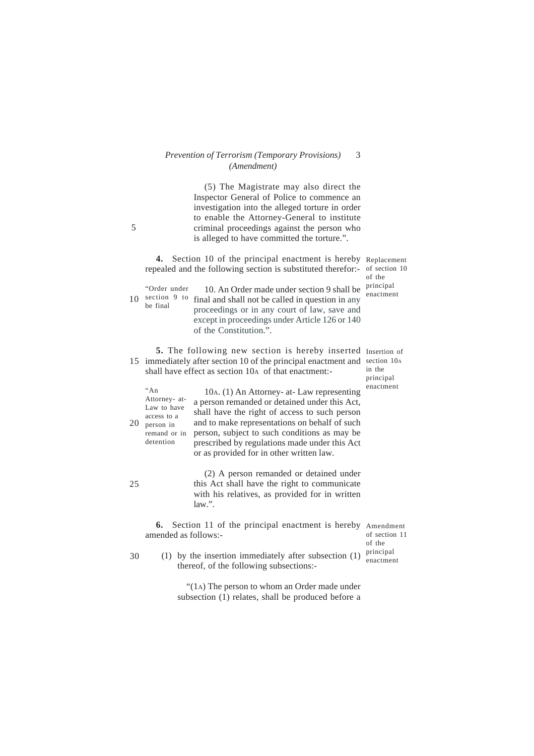(5) The Magistrate may also direct the Inspector General of Police to commence an investigation into the alleged torture in order to enable the Attorney-General to institute criminal proceedings against the person who is alleged to have committed the torture.".

**4.** Section 10 of the principal enactment is hereby Replacement repealed and the following section is substituted therefor:- of section 10 10. An Order made under section 9 shall be  $\frac{\text{principal}}{\text{measured}}$ 10 section  $9$  to final and shall not be called in question in any proceedings or in any court of law, save and except in proceedings under Article 126 or 140 of the Constitution.". 5. The following new section is hereby inserted Insertion of 15 immediately after section 10 of the principal enactment and section 10A shall have effect as section 10A of that enactment:- 10A. (1) An Attorney- at- Law representing enactment "An a person remanded or detained under this Act, shall have the right of access to such person and to make representations on behalf of such person, subject to such conditions as may be prescribed by regulations made under this Act or as provided for in other written law. (2) A person remanded or detained under this Act shall have the right to communicate with his relatives, as provided for in written law.". **6.** Section 11 of the principal enactment is hereby Amendment amended as follows:- 20 25 "Order under be final in the principal Attorney- at-Law to have access to a person in remand or in detention of section 11 of the of the enactment

(1) by the insertion immediately after subsection  $(1)$  principal thereof, of the following subsections:- 30 enactment

> "(1A) The person to whom an Order made under subsection (1) relates, shall be produced before a

5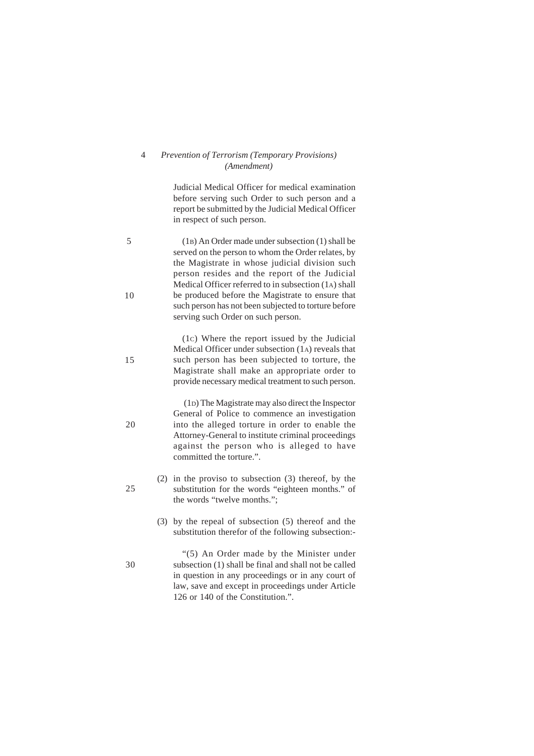Judicial Medical Officer for medical examination before serving such Order to such person and a report be submitted by the Judicial Medical Officer in respect of such person.

(1B) An Order made under subsection (1) shall be served on the person to whom the Order relates, by the Magistrate in whose judicial division such person resides and the report of the Judicial Medical Officer referred to in subsection (1A) shall be produced before the Magistrate to ensure that such person has not been subjected to torture before serving such Order on such person.

(1C) Where the report issued by the Judicial Medical Officer under subsection (1A) reveals that such person has been subjected to torture, the Magistrate shall make an appropriate order to provide necessary medical treatment to such person.

 (1D) The Magistrate may also direct the Inspector General of Police to commence an investigation into the alleged torture in order to enable the Attorney-General to institute criminal proceedings against the person who is alleged to have committed the torture.".

- (2) in the proviso to subsection (3) thereof, by the substitution for the words "eighteen months." of the words "twelve months.";
	- (3) by the repeal of subsection (5) thereof and the substitution therefor of the following subsection:-

"(5) An Order made by the Minister under subsection (1) shall be final and shall not be called in question in any proceedings or in any court of law, save and except in proceedings under Article 126 or 140 of the Constitution.".

10

15

5

20

25

30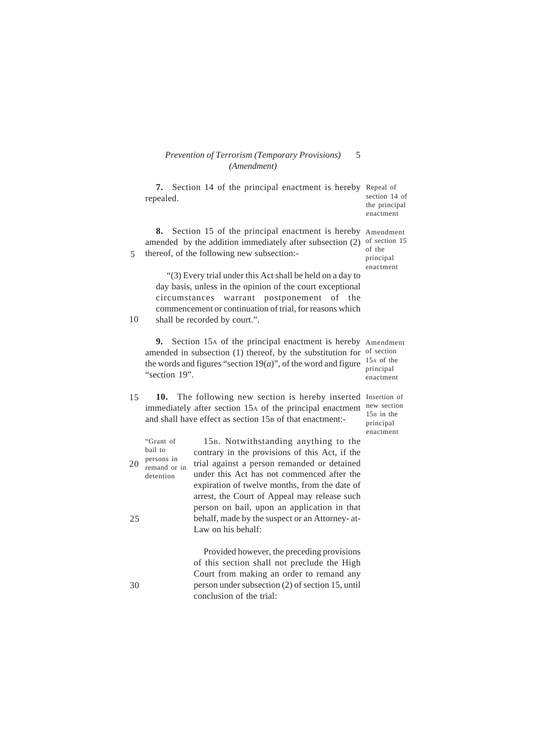|    | 7.<br>repealed.                                                 | Section 14 of the principal enactment is hereby Repeal of                                                                                                                                                                                                                            | section 14 of<br>the principal<br>enactment                                     |
|----|-----------------------------------------------------------------|--------------------------------------------------------------------------------------------------------------------------------------------------------------------------------------------------------------------------------------------------------------------------------------|---------------------------------------------------------------------------------|
| 5  | 8.                                                              | Section 15 of the principal enactment is hereby<br>amended by the addition immediately after subsection (2)<br>thereof, of the following new subsection:-                                                                                                                            | Amendment<br>of section 15<br>of the<br>principal                               |
| 10 | circumstances                                                   | "(3) Every trial under this Act shall be held on a day to<br>day basis, unless in the opinion of the court exceptional<br>postponement<br>of<br>warrant<br>the<br>commencement or continuation of trial, for reasons which<br>shall be recorded by court.".                          | enactment                                                                       |
|    | 9.<br>"section 19".                                             | Section 15A of the principal enactment is hereby<br>amended in subsection (1) thereof, by the substitution for<br>the words and figures "section $19(a)$ ", of the word and figure                                                                                                   | Amendment<br>of section<br>15 <sub>A</sub> of the<br>principal<br>enactment     |
| 15 | 10.                                                             | The following new section is hereby inserted<br>immediately after section 15A of the principal enactment<br>and shall have effect as section 15 <sub>B</sub> of that enactment:-                                                                                                     | Insertion of<br>new section<br>15 <sub>B</sub> in the<br>principal<br>enactment |
| 20 | "Grant of<br>bail to<br>persons in<br>remand or in<br>detention | 15B. Notwithstanding anything to the<br>contrary in the provisions of this Act, if the<br>trial against a person remanded or detained<br>under this Act has not commenced after the<br>expiration of twelve months, from the date of<br>arrest, the Court of Appeal may release such |                                                                                 |
| 25 |                                                                 | person on bail, upon an application in that<br>behalf, made by the suspect or an Attorney-at-<br>Law on his behalf:                                                                                                                                                                  |                                                                                 |
| 30 |                                                                 | Provided however, the preceding provisions<br>of this section shall not preclude the High<br>Court from making an order to remand any<br>person under subsection (2) of section 15, until<br>conclusion of the trial:                                                                |                                                                                 |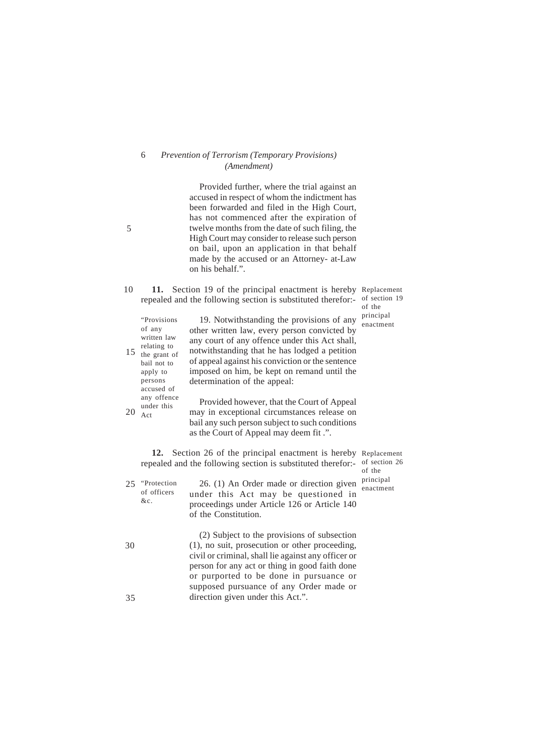Provided further, where the trial against an accused in respect of whom the indictment has been forwarded and filed in the High Court, has not commenced after the expiration of twelve months from the date of such filing, the High Court may consider to release such person on bail, upon an application in that behalf made by the accused or an Attorney- at-Law on his behalf.".

**11.** Section 19 of the principal enactment is hereby Replacement repealed and the following section is substituted therefor:- of section 19 10 of the

| 15 | "Provisions"<br>of any<br>written law<br>relating to<br>the grant of<br>bail not to<br>apply to<br>persons<br>accused of | 19. Notwithstanding the provisions of any<br>other written law, every person convicted by<br>any court of any offence under this Act shall,<br>notwithstanding that he has lodged a petition<br>of appeal against his conviction or the sentence<br>imposed on him, be kept on remand until the<br>determination of the appeal: | principal<br>enactment |
|----|--------------------------------------------------------------------------------------------------------------------------|---------------------------------------------------------------------------------------------------------------------------------------------------------------------------------------------------------------------------------------------------------------------------------------------------------------------------------|------------------------|
| 20 | any offence<br>under this<br>Act                                                                                         | Provided however, that the Court of Appeal<br>may in exceptional circumstances release on<br>bail any such person subject to such conditions<br>as the Court of Appeal may deem fit.".                                                                                                                                          |                        |

**12.** Section 26 of the principal enactment is hereby Replacement repealed and the following section is substituted therefor:- of section 26 of the

|    | 25 "Protection"<br>of officers<br>&c. | 26. (1) An Order made or direction given<br>under this Act may be questioned in<br>proceedings under Article 126 or Article 140<br>of the Constitution.                                                                                           | principal<br>enactment |
|----|---------------------------------------|---------------------------------------------------------------------------------------------------------------------------------------------------------------------------------------------------------------------------------------------------|------------------------|
| 30 |                                       | (2) Subject to the provisions of subsection<br>(1), no suit, prosecution or other proceeding,<br>civil or criminal, shall lie against any officer or<br>person for any act or thing in good faith done<br>or purported to be done in pursuance or |                        |

direction given under this Act.".

supposed pursuance of any Order made or

35

5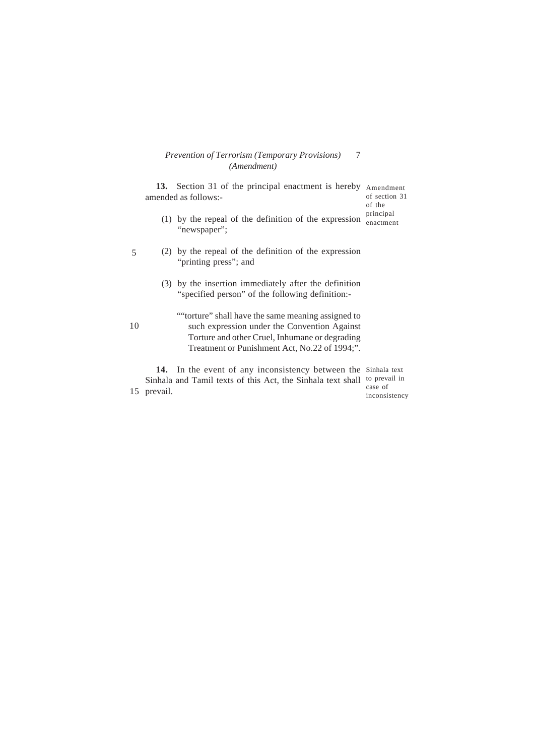5 10 **13.** Section 31 of the principal enactment is hereby Amendment amended as follows:- (1) by the repeal of the definition of the expression  $\frac{\text{principal}}{\text{enactmer}}$ "newspaper"; (2) by the repeal of the definition of the expression "printing press"; and (3) by the insertion immediately after the definition "specified person" of the following definition:- ""torture" shall have the same meaning assigned to such expression under the Convention Against Torture and other Cruel, Inhumane or degrading Treatment or Punishment Act, No.22 of 1994;". of section 31 of the enactment

15 prevail. 14. In the event of any inconsistency between the Sinhala text Sinhala and Tamil texts of this Act, the Sinhala text shall to prevail in case of inconsistency